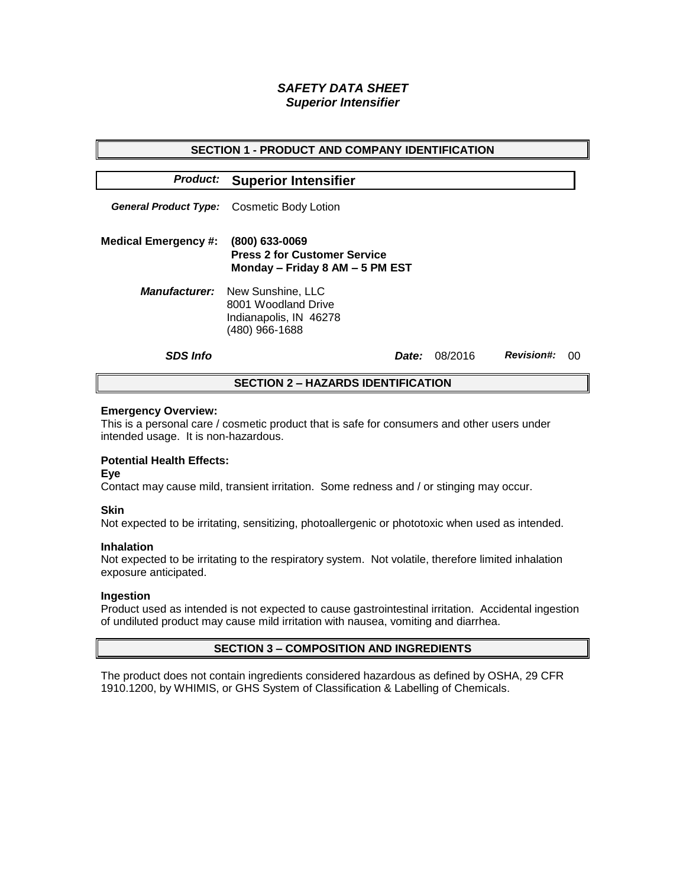# *SAFETY DATA SHEET Superior Intensifier*

| <b>SECTION 1 - PRODUCT AND COMPANY IDENTIFICATION</b> |                                                                                                           |              |         |                   |    |  |
|-------------------------------------------------------|-----------------------------------------------------------------------------------------------------------|--------------|---------|-------------------|----|--|
|                                                       | <b>Product: Superior Intensifier</b>                                                                      |              |         |                   |    |  |
|                                                       | General Product Type: Cosmetic Body Lotion                                                                |              |         |                   |    |  |
| <b>Medical Emergency #:</b>                           | (800) 633-0069<br><b>Press 2 for Customer Service</b><br>Monday - Friday 8 AM - 5 PM EST                  |              |         |                   |    |  |
|                                                       | <b>Manufacturer:</b> New Sunshine, LLC<br>8001 Woodland Drive<br>Indianapolis, IN 46278<br>(480) 966-1688 |              |         |                   |    |  |
| <b>SDS Info</b>                                       |                                                                                                           | <i>Date:</i> | 08/2016 | <b>Revision#:</b> | ററ |  |
| <b>SECTION 2 – HAZARDS IDENTIFICATION</b>             |                                                                                                           |              |         |                   |    |  |

#### **Emergency Overview:**

This is a personal care / cosmetic product that is safe for consumers and other users under intended usage. It is non-hazardous.

## **Potential Health Effects:**

**Eye**

Contact may cause mild, transient irritation. Some redness and / or stinging may occur.

### **Skin**

Not expected to be irritating, sensitizing, photoallergenic or phototoxic when used as intended.

#### **Inhalation**

Not expected to be irritating to the respiratory system. Not volatile, therefore limited inhalation exposure anticipated.

### **Ingestion**

Product used as intended is not expected to cause gastrointestinal irritation. Accidental ingestion of undiluted product may cause mild irritation with nausea, vomiting and diarrhea.

### **SECTION 3 – COMPOSITION AND INGREDIENTS**

The product does not contain ingredients considered hazardous as defined by OSHA, 29 CFR 1910.1200, by WHIMIS, or GHS System of Classification & Labelling of Chemicals.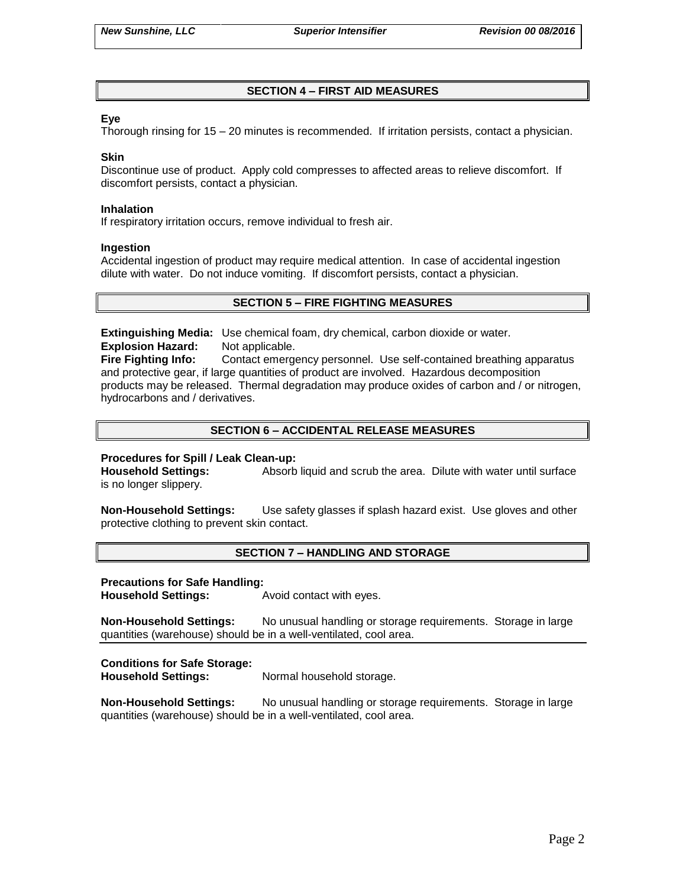## **SECTION 4 – FIRST AID MEASURES**

### **Eye**

Thorough rinsing for 15 – 20 minutes is recommended. If irritation persists, contact a physician.

#### **Skin**

Discontinue use of product. Apply cold compresses to affected areas to relieve discomfort. If discomfort persists, contact a physician.

#### **Inhalation**

If respiratory irritation occurs, remove individual to fresh air.

#### **Ingestion**

Accidental ingestion of product may require medical attention. In case of accidental ingestion dilute with water. Do not induce vomiting. If discomfort persists, contact a physician.

## **SECTION 5 – FIRE FIGHTING MEASURES**

**Extinguishing Media:** Use chemical foam, dry chemical, carbon dioxide or water. **Explosion Hazard:** Not applicable.

**Fire Fighting Info:** Contact emergency personnel. Use self-contained breathing apparatus and protective gear, if large quantities of product are involved. Hazardous decomposition products may be released. Thermal degradation may produce oxides of carbon and / or nitrogen, hydrocarbons and / derivatives.

## **SECTION 6 – ACCIDENTAL RELEASE MEASURES**

### **Procedures for Spill / Leak Clean-up:**

**Household Settings:** Absorb liquid and scrub the area. Dilute with water until surface is no longer slippery.

**Non-Household Settings:** Use safety glasses if splash hazard exist. Use gloves and other protective clothing to prevent skin contact.

### **SECTION 7 – HANDLING AND STORAGE**

#### **Precautions for Safe Handling:**

**Household Settings:** Avoid contact with eyes.

**Non-Household Settings:** No unusual handling or storage requirements. Storage in large quantities (warehouse) should be in a well-ventilated, cool area.

### **Conditions for Safe Storage:**

**Household Settings:** Normal household storage.

**Non-Household Settings:** No unusual handling or storage requirements. Storage in large quantities (warehouse) should be in a well-ventilated, cool area.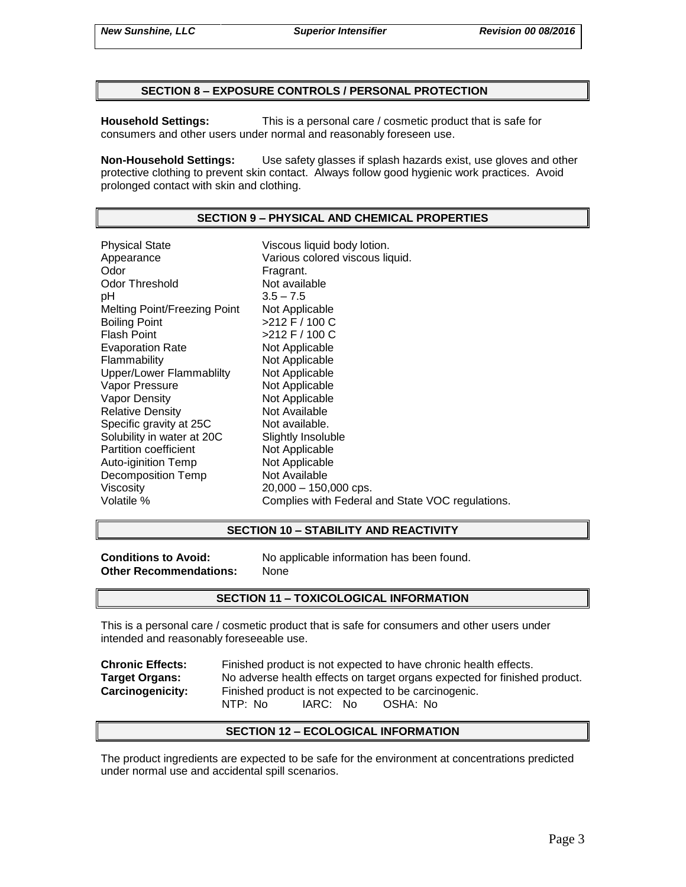### **SECTION 8 – EXPOSURE CONTROLS / PERSONAL PROTECTION**

**Household Settings:** This is a personal care / cosmetic product that is safe for consumers and other users under normal and reasonably foreseen use.

**Non-Household Settings:** Use safety glasses if splash hazards exist, use gloves and other protective clothing to prevent skin contact. Always follow good hygienic work practices. Avoid prolonged contact with skin and clothing.

### **SECTION 9 – PHYSICAL AND CHEMICAL PROPERTIES**

Physical State Viscous liquid body lotion. Appearance **Various colored viscous liquid.**<br>
Odor Communication Colore Fragrant. Odor Threshold Not available pH 3.5 – 7.5 Melting Point/Freezing Point Not Applicable Boiling Point  $>212$  F / 100 C Flash Point  $>212$  F / 100 C Evaporation Rate Not Applicable Flammability Not Applicable Upper/Lower Flammablilty Not Applicable Vapor Pressure Not Applicable Vapor Density Not Applicable Relative Density Not Available Specific gravity at 25C Not available. Solubility in water at 20C Slightly Insoluble Partition coefficient Not Applicable Auto-iginition Temp Not Applicable Decomposition Temp Not Available Viscosity 20,000 – 150,000 cps. Volatile % Complies with Federal and State VOC regulations.

### **SECTION 10 – STABILITY AND REACTIVITY**

**Other Recommendations:** None

**Conditions to Avoid:** No applicable information has been found.

### **SECTION 11 – TOXICOLOGICAL INFORMATION**

This is a personal care / cosmetic product that is safe for consumers and other users under intended and reasonably foreseeable use.

**Chronic Effects:** Finished product is not expected to have chronic health effects. **Target Organs:** No adverse health effects on target organs expected for finished product. **Carcinogenicity:** Finished product is not expected to be carcinogenic. NTP: No IARC: No OSHA: No

### **SECTION 12 – ECOLOGICAL INFORMATION**

The product ingredients are expected to be safe for the environment at concentrations predicted under normal use and accidental spill scenarios.